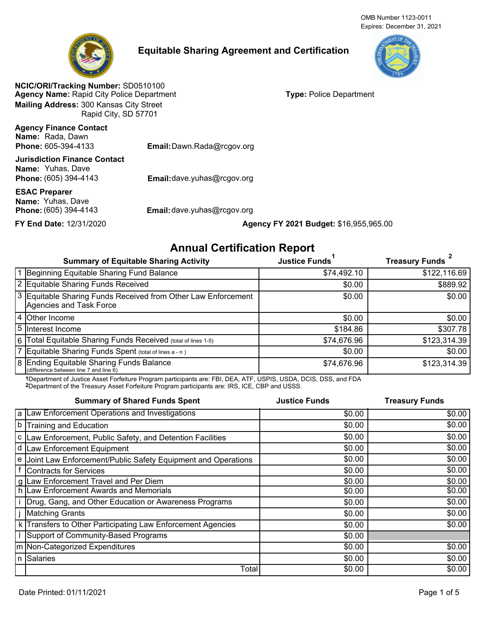OMB Number 1123-0011 Expires: December 31, 2021



# **Equitable Sharing Agreement and Certification**



**Agency Name:** Rapid City Police Department **NCIC/ORI/Tracking Number:** SD0510100 **Mailing Address:** 300 Kansas City Street Rapid City, SD 57701

**Type:** Police Department

**Agency Finance Contact Phone: Name:** Rada, Dawn

605-394-4133 **Email:**Dawn.Rada@rcgov.org

**Phone:** (605) 394-4143 **Name:** Yuhas, Dave **Jurisdiction Finance Contact**

**Name:** Yuhas, Dave **ESAC Preparer**

Email:dave.yuhas@rcgov.org

**Phone:** (605) 394-4143 **Email:**dave.yuhas@rcgov.org

## **FY End Date:** 12/31/2020 **Agency FY 2021 Budget:** \$16,955,965.00

# **Annual Certification Report**

| <b>Summary of Equitable Sharing Activity</b>                                             | <b>Justice Funds</b> | <b>Treasury Funds</b> |
|------------------------------------------------------------------------------------------|----------------------|-----------------------|
| 1 Beginning Equitable Sharing Fund Balance                                               | \$74,492.10          | \$122,116.69          |
| 2 Equitable Sharing Funds Received                                                       | \$0.00               | \$889.92              |
| 3 Equitable Sharing Funds Received from Other Law Enforcement<br>Agencies and Task Force | \$0.00               | \$0.00                |
| 4 Other Income                                                                           | \$0.00               | \$0.00                |
| 5 Interest Income                                                                        | \$184.86             | \$307.78              |
| 6 Total Equitable Sharing Funds Received (total of lines 1-5)                            | \$74,676.96          | \$123,314.39          |
| 7 Equitable Sharing Funds Spent (total of lines a - n)                                   | \$0.00               | \$0.00                |
| 8 Ending Equitable Sharing Funds Balance<br>(difference between line 7 and line 6)       | \$74,676.96          | \$123,314.39          |

1Department of Justice Asset Forfeiture Program participants are: FBI, DEA, ATF, USPIS, USDA, DCIS, DSS, and FDA 2Department of the Treasury Asset Forfeiture Program participants are: IRS, ICE, CBP and USSS.

**Summary of Shared Funds Spent** Law Enforcement Operations and Investigations Law Enforcement, Public Safety, and Detention Facilities Training and Education Law Enforcement Equipment Joint Law Enforcement/Public Safety Equipment and Operations Contracts for Services Law Enforcement Travel and Per Diem Law Enforcement Awards and Memorials Drug, Gang, and Other Education or Awareness Programs Matching Grants Transfers to Other Participating Law Enforcement Agencies Support of Community-Based Programs Non-Categorized Expenditures **Salaries Total Justice Funds Treasury Funds** \$0.00 \$0.00  $$0.00$   $$0.00$ \$0.00 \$0.00  $$0.00$   $$0.00$  $$0.00$   $$0.00$  $$0.00$   $$0.00$  $$0.00$  \$0.00  $$0.00$   $$0.00$  $$0.00$  \$0.00  $$0.00$   $$0.00$  $$0.00$  \$0.00 \$0.00  $$0.00$  \$0.00  $$0.00$  \$0.00 \$0.00 \$0.00 a b c d e f g h i j k l m n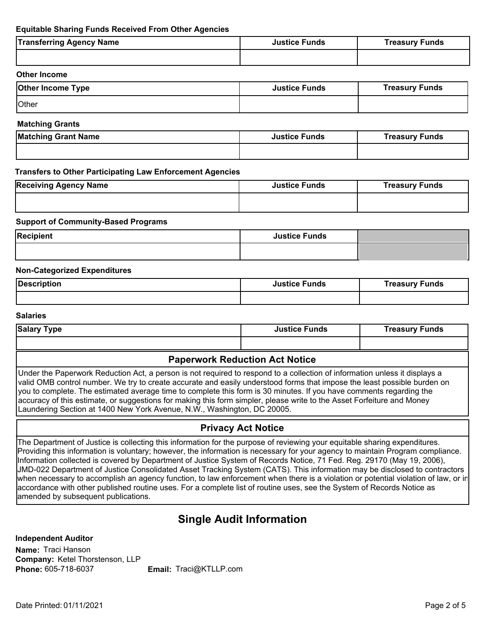## **Equitable Sharing Funds Received From Other Agencies**

| <b>Transferring Agency Name</b> | <b>Justice Funds</b> | <b>Treasury Funds</b> |
|---------------------------------|----------------------|-----------------------|
|                                 |                      |                       |
|                                 |                      |                       |

#### **Other Income**

| <b>Other Income Type</b> | <b>Justice Funds</b> | <b>Treasury Funds</b> |
|--------------------------|----------------------|-----------------------|
| <b>Other</b>             |                      |                       |

#### **Matching Grants**

| <b>Matching Grant Name</b> | <b>Justice Funds</b> | Treasury Funds |
|----------------------------|----------------------|----------------|
|                            |                      |                |

### **Transfers to Other Participating Law Enforcement Agencies**

| <b>Receiving Agency Name</b> | <b>Justice Funds</b> | <b>Treasury Funds</b> |
|------------------------------|----------------------|-----------------------|
|                              |                      |                       |

#### **Support of Community-Based Programs**

| <b>Recipient</b> | <b>Justice Funds</b> |  |
|------------------|----------------------|--|
|                  |                      |  |

### **Non-Categorized Expenditures**

| Description | Justice Funds | ' Funds<br><i>i</i> reasury |
|-------------|---------------|-----------------------------|
|             |               |                             |

#### **Salaries**

| Salary<br>Type | <b>Justice Funds</b> | Funds<br>Treasury |
|----------------|----------------------|-------------------|
|                |                      |                   |

## **Paperwork Reduction Act Notice**

Under the Paperwork Reduction Act, a person is not required to respond to a collection of information unless it displays a valid OMB control number. We try to create accurate and easily understood forms that impose the least possible burden on you to complete. The estimated average time to complete this form is 30 minutes. If you have comments regarding the accuracy of this estimate, or suggestions for making this form simpler, please write to the Asset Forfeiture and Money Laundering Section at 1400 New York Avenue, N.W., Washington, DC 20005.

## **Privacy Act Notice**

The Department of Justice is collecting this information for the purpose of reviewing your equitable sharing expenditures. Providing this information is voluntary; however, the information is necessary for your agency to maintain Program compliance. Information collected is covered by Department of Justice System of Records Notice, 71 Fed. Reg. 29170 (May 19, 2006), JMD-022 Department of Justice Consolidated Asset Tracking System (CATS). This information may be disclosed to contractors when necessary to accomplish an agency function, to law enforcement when there is a violation or potential violation of law, or in accordance with other published routine uses. For a complete list of routine uses, see the System of Records Notice as amended by subsequent publications.

# **Single Audit Information**

**Independent Auditor**

**Company:** Ketel Thorstenson, LLP **Name:** Traci Hanson **Phone:**

605-718-6037 **Email:** Traci@KTLLP.com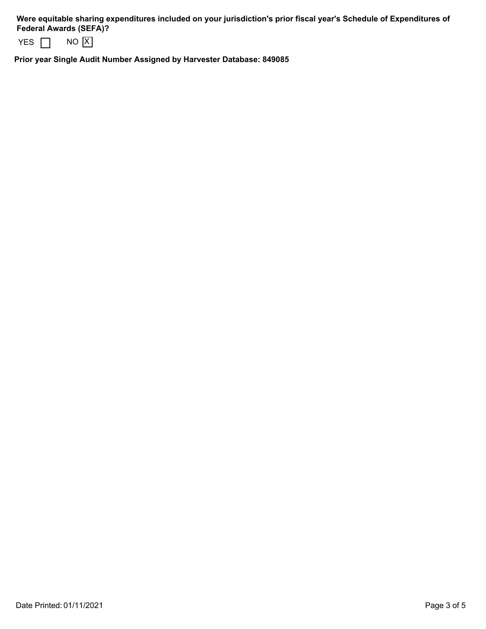**Were equitable sharing expenditures included on your jurisdiction's prior fiscal year's Schedule of Expenditures of Federal Awards (SEFA)?** 

|  | חח<br>ΙX |
|--|----------|
|--|----------|

**Prior year Single Audit Number Assigned by Harvester Database: 849085**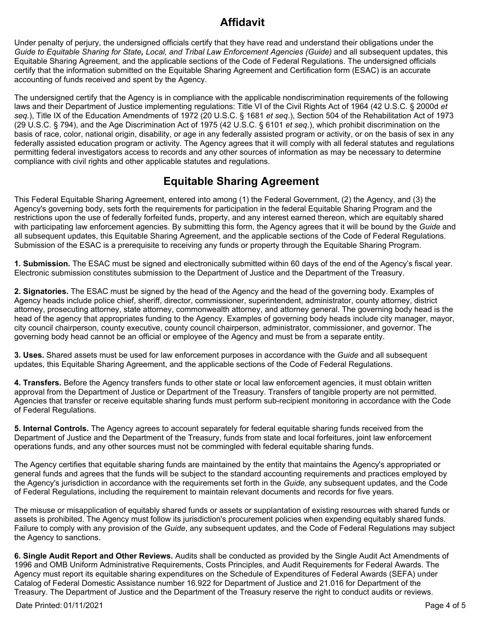# **Affidavit**

Under penalty of perjury, the undersigned officials certify that they have read and understand their obligations under the *Guide to Equitable Sharing for State, Local, and Tribal Law Enforcement Agencies (Guide)* and all subsequent updates, this Equitable Sharing Agreement, and the applicable sections of the Code of Federal Regulations. The undersigned officials certify that the information submitted on the Equitable Sharing Agreement and Certification form (ESAC) is an accurate accounting of funds received and spent by the Agency.

The undersigned certify that the Agency is in compliance with the applicable nondiscrimination requirements of the following laws and their Department of Justice implementing regulations: Title VI of the Civil Rights Act of 1964 (42 U.S.C. § 2000d *et seq.*), Title IX of the Education Amendments of 1972 (20 U.S.C. § 1681 *et seq*.), Section 504 of the Rehabilitation Act of 1973 (29 U.S.C. § 794), and the Age Discrimination Act of 1975 (42 U.S.C. § 6101 *et seq*.), which prohibit discrimination on the basis of race, color, national origin, disability, or age in any federally assisted program or activity, or on the basis of sex in any federally assisted education program or activity. The Agency agrees that it will comply with all federal statutes and regulations permitting federal investigators access to records and any other sources of information as may be necessary to determine compliance with civil rights and other applicable statutes and regulations.

# **Equitable Sharing Agreement**

This Federal Equitable Sharing Agreement, entered into among (1) the Federal Government, (2) the Agency, and (3) the Agency's governing body, sets forth the requirements for participation in the federal Equitable Sharing Program and the restrictions upon the use of federally forfeited funds, property, and any interest earned thereon, which are equitably shared with participating law enforcement agencies. By submitting this form, the Agency agrees that it will be bound by the *Guide* and all subsequent updates, this Equitable Sharing Agreement, and the applicable sections of the Code of Federal Regulations. Submission of the ESAC is a prerequisite to receiving any funds or property through the Equitable Sharing Program.

**1. Submission.** The ESAC must be signed and electronically submitted within 60 days of the end of the Agency's fiscal year. Electronic submission constitutes submission to the Department of Justice and the Department of the Treasury.

**2. Signatories.** The ESAC must be signed by the head of the Agency and the head of the governing body. Examples of Agency heads include police chief, sheriff, director, commissioner, superintendent, administrator, county attorney, district attorney, prosecuting attorney, state attorney, commonwealth attorney, and attorney general. The governing body head is the head of the agency that appropriates funding to the Agency. Examples of governing body heads include city manager, mayor, city council chairperson, county executive, county council chairperson, administrator, commissioner, and governor. The governing body head cannot be an official or employee of the Agency and must be from a separate entity.

**3. Uses.** Shared assets must be used for law enforcement purposes in accordance with the *Guide* and all subsequent updates, this Equitable Sharing Agreement, and the applicable sections of the Code of Federal Regulations.

**4. Transfers.** Before the Agency transfers funds to other state or local law enforcement agencies, it must obtain written approval from the Department of Justice or Department of the Treasury. Transfers of tangible property are not permitted. Agencies that transfer or receive equitable sharing funds must perform sub-recipient monitoring in accordance with the Code of Federal Regulations.

**5. Internal Controls.** The Agency agrees to account separately for federal equitable sharing funds received from the Department of Justice and the Department of the Treasury, funds from state and local forfeitures, joint law enforcement operations funds, and any other sources must not be commingled with federal equitable sharing funds.

The Agency certifies that equitable sharing funds are maintained by the entity that maintains the Agency's appropriated or general funds and agrees that the funds will be subject to the standard accounting requirements and practices employed by the Agency's jurisdiction in accordance with the requirements set forth in the *Guide,* any subsequent updates, and the Code of Federal Regulations, including the requirement to maintain relevant documents and records for five years.

The misuse or misapplication of equitably shared funds or assets or supplantation of existing resources with shared funds or assets is prohibited. The Agency must follow its jurisdiction's procurement policies when expending equitably shared funds. Failure to comply with any provision of the *Guide*, any subsequent updates, and the Code of Federal Regulations may subject the Agency to sanctions.

**6. Single Audit Report and Other Reviews.** Audits shall be conducted as provided by the Single Audit Act Amendments of 1996 and OMB Uniform Administrative Requirements, Costs Principles, and Audit Requirements for Federal Awards. The Agency must report its equitable sharing expenditures on the Schedule of Expenditures of Federal Awards (SEFA) under Catalog of Federal Domestic Assistance number 16.922 for Department of Justice and 21.016 for Department of the Treasury. The Department of Justice and the Department of the Treasury reserve the right to conduct audits or reviews.